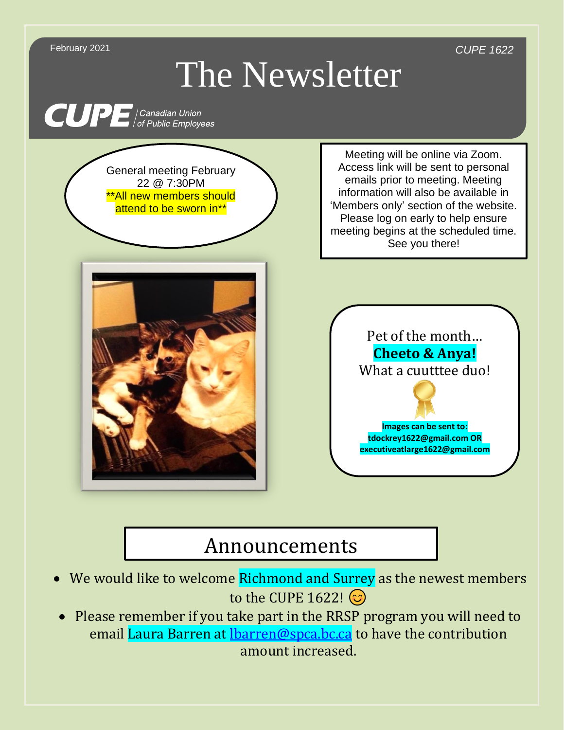

## Announcements

- We would like to welcome Richmond and Surrey as the newest members to the CUPE 1622! ©
- Please remember if you take part in the RRSP program you will need to email Laura Barren at [lbarren@spca.bc.ca](mailto:lbarren@spca.bc.ca) to have the contribution amount increased.